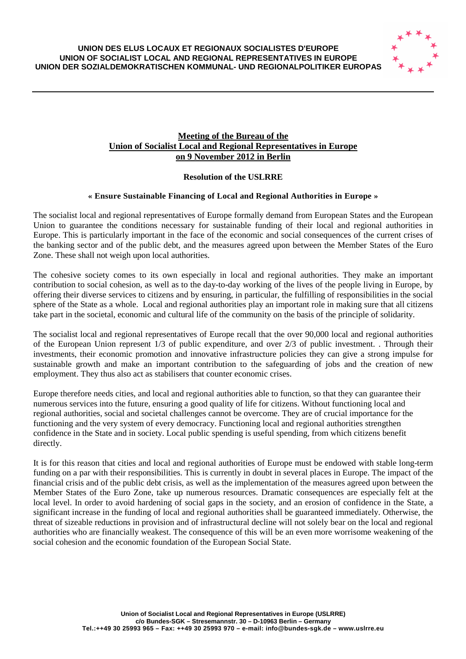#### **UNION DES ELUS LOCAUX ET REGIONAUX SOCIALISTES D'EUROPE UNION OF SOCIALIST LOCAL AND REGIONAL REPRESENTATIVES IN EUROPE UNION DER SOZIALDEMOKRATISCHEN KOMMUNAL- UND REGIONALPOLITIKER EUROPAS**



# **Meeting of the Bureau of the Union of Socialist Local and Regional Representatives in Europe on 9 November 2012 in Berlin**

# **Resolution of the USLRRE**

# **« Ensure Sustainable Financing of Local and Regional Authorities in Europe »**

The socialist local and regional representatives of Europe formally demand from European States and the European Union to guarantee the conditions necessary for sustainable funding of their local and regional authorities in Europe. This is particularly important in the face of the economic and social consequences of the current crises of the banking sector and of the public debt, and the measures agreed upon between the Member States of the Euro Zone. These shall not weigh upon local authorities.

The cohesive society comes to its own especially in local and regional authorities. They make an important contribution to social cohesion, as well as to the day-to-day working of the lives of the people living in Europe, by offering their diverse services to citizens and by ensuring, in particular, the fulfilling of responsibilities in the social sphere of the State as a whole. Local and regional authorities play an important role in making sure that all citizens take part in the societal, economic and cultural life of the community on the basis of the principle of solidarity.

The socialist local and regional representatives of Europe recall that the over 90,000 local and regional authorities of the European Union represent 1/3 of public expenditure, and over 2/3 of public investment. . Through their investments, their economic promotion and innovative infrastructure policies they can give a strong impulse for sustainable growth and make an important contribution to the safeguarding of jobs and the creation of new employment. They thus also act as stabilisers that counter economic crises.

Europe therefore needs cities, and local and regional authorities able to function, so that they can guarantee their numerous services into the future, ensuring a good quality of life for citizens. Without functioning local and regional authorities, social and societal challenges cannot be overcome. They are of crucial importance for the functioning and the very system of every democracy. Functioning local and regional authorities strengthen confidence in the State and in society. Local public spending is useful spending, from which citizens benefit directly.

It is for this reason that cities and local and regional authorities of Europe must be endowed with stable long-term funding on a par with their responsibilities. This is currently in doubt in several places in Europe. The impact of the financial crisis and of the public debt crisis, as well as the implementation of the measures agreed upon between the Member States of the Euro Zone, take up numerous resources. Dramatic consequences are especially felt at the local level. In order to avoid hardening of social gaps in the society, and an erosion of confidence in the State, a significant increase in the funding of local and regional authorities shall be guaranteed immediately. Otherwise, the threat of sizeable reductions in provision and of infrastructural decline will not solely bear on the local and regional authorities who are financially weakest. The consequence of this will be an even more worrisome weakening of the social cohesion and the economic foundation of the European Social State.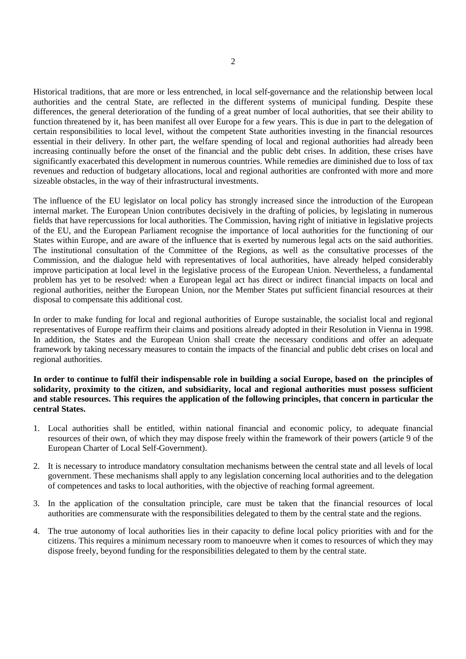Historical traditions, that are more or less entrenched, in local self-governance and the relationship between local authorities and the central State, are reflected in the different systems of municipal funding. Despite these differences, the general deterioration of the funding of a great number of local authorities, that see their ability to function threatened by it, has been manifest all over Europe for a few years. This is due in part to the delegation of certain responsibilities to local level, without the competent State authorities investing in the financial resources essential in their delivery. In other part, the welfare spending of local and regional authorities had already been increasing continually before the onset of the financial and the public debt crises. In addition, these crises have significantly exacerbated this development in numerous countries. While remedies are diminished due to loss of tax revenues and reduction of budgetary allocations, local and regional authorities are confronted with more and more sizeable obstacles, in the way of their infrastructural investments.

The influence of the EU legislator on local policy has strongly increased since the introduction of the European internal market. The European Union contributes decisively in the drafting of policies, by legislating in numerous fields that have repercussions for local authorities. The Commission, having right of initiative in legislative projects of the EU, and the European Parliament recognise the importance of local authorities for the functioning of our States within Europe, and are aware of the influence that is exerted by numerous legal acts on the said authorities. The institutional consultation of the Committee of the Regions, as well as the consultative processes of the Commission, and the dialogue held with representatives of local authorities, have already helped considerably improve participation at local level in the legislative process of the European Union. Nevertheless, a fundamental problem has yet to be resolved: when a European legal act has direct or indirect financial impacts on local and regional authorities, neither the European Union, nor the Member States put sufficient financial resources at their disposal to compensate this additional cost.

In order to make funding for local and regional authorities of Europe sustainable, the socialist local and regional representatives of Europe reaffirm their claims and positions already adopted in their Resolution in Vienna in 1998. In addition, the States and the European Union shall create the necessary conditions and offer an adequate framework by taking necessary measures to contain the impacts of the financial and public debt crises on local and regional authorities.

### **In order to continue to fulfil their indispensable role in building a social Europe, based on the principles of solidarity, proximity to the citizen, and subsidiarity, local and regional authorities must possess sufficient and stable resources. This requires the application of the following principles, that concern in particular the central States.**

- 1. Local authorities shall be entitled, within national financial and economic policy, to adequate financial resources of their own, of which they may dispose freely within the framework of their powers (article 9 of the European Charter of Local Self-Government).
- 2. It is necessary to introduce mandatory consultation mechanisms between the central state and all levels of local government. These mechanisms shall apply to any legislation concerning local authorities and to the delegation of competences and tasks to local authorities, with the objective of reaching formal agreement.
- 3. In the application of the consultation principle, care must be taken that the financial resources of local authorities are commensurate with the responsibilities delegated to them by the central state and the regions.
- 4. The true autonomy of local authorities lies in their capacity to define local policy priorities with and for the citizens. This requires a minimum necessary room to manoeuvre when it comes to resources of which they may dispose freely, beyond funding for the responsibilities delegated to them by the central state.